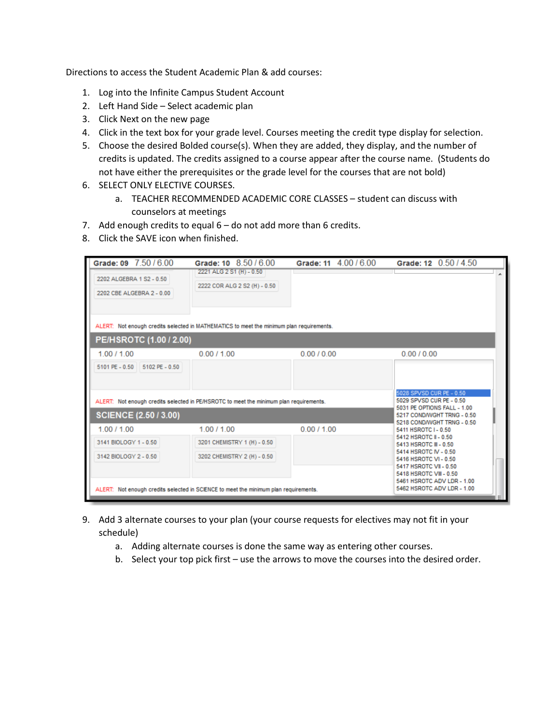Directions to access the Student Academic Plan & add courses:

- 1. Log into the Infinite Campus Student Account
- 2. Left Hand Side Select academic plan
- 3. Click Next on the new page
- 4. Click in the text box for your grade level. Courses meeting the credit type display for selection.
- 5. Choose the desired Bolded course(s). When they are added, they display, and the number of credits is updated. The credits assigned to a course appear after the course name. (Students do not have either the prerequisites or the grade level for the courses that are not bold)
- 6. SELECT ONLY ELECTIVE COURSES.
	- a. TEACHER RECOMMENDED ACADEMIC CORE CLASSES student can discuss with counselors at meetings
- 7. Add enough credits to equal 6 do not add more than 6 credits.
- 8. Click the SAVE icon when finished.

| Grade: 09 7.50 / 6.00                                 | Grade: 10 8.50 / 6.00                                                                    | Grade: 11 4.00 / 6.00 | Grade: 12 0.50 / 4.50                                                                                                             |  |
|-------------------------------------------------------|------------------------------------------------------------------------------------------|-----------------------|-----------------------------------------------------------------------------------------------------------------------------------|--|
| 2202 ALGEBRA 1 S2 - 0.50<br>2202 CBE ALGEBRA 2 - 0.00 | 2221 ALG 2 S1 (H) - 0.50<br>2222 COR ALG 2 S2 (H) - 0.50                                 |                       |                                                                                                                                   |  |
|                                                       | ALERT: Not enough credits selected in MATHEMATICS to meet the minimum plan requirements. |                       |                                                                                                                                   |  |
| PE/HSROTC (1.00 / 2.00)                               |                                                                                          |                       |                                                                                                                                   |  |
| 1.00 / 1.00                                           | 0.00 / 1.00                                                                              | 0.00 / 0.00           | 0.00 / 0.00                                                                                                                       |  |
| 5101 PE - 0.50 5102 PE - 0.50                         |                                                                                          |                       |                                                                                                                                   |  |
|                                                       | ALERT: Not enough credits selected in PE/HSROTC to meet the minimum plan requirements.   |                       | 5028 SPVSD CUR PE - 0.50<br>5029 SPVSD CUR PE - 0.50                                                                              |  |
| <b>SCIENCE (2.50 / 3.00)</b>                          |                                                                                          |                       | 5031 PE OPTIONS FALL - 1.00<br>5217 COND/WGHT TRNG - 0.50                                                                         |  |
| 1.00 / 1.00                                           | 1.00 / 1.00                                                                              | 0.00 / 1.00           | 5218 COND/WGHT TRNG - 0.50<br>5411 HSROTC I - 0.50                                                                                |  |
| 3141 BIOLOGY 1 - 0.50                                 | 3201 CHEMISTRY 1 (H) - 0.50                                                              |                       | 5412 HSROTC II - 0.50<br>5413 HSROTC III - 0.50                                                                                   |  |
| 3142 BIOLOGY 2 - 0.50                                 | 3202 CHEMISTRY 2 (H) - 0.50                                                              |                       | 5414 HSROTC IV - 0.50<br>5416 HSROTC VI - 0.50<br>5417 HSROTC VII - 0.50<br>5418 HSROTC VIII - 0.50<br>5461 HSROTC ADV LDR - 1.00 |  |
|                                                       | ALERT: Not enough credits selected in SCIENCE to meet the minimum plan requirements.     |                       | 5462 HSROTC ADV LDR - 1.00                                                                                                        |  |

- 9. Add 3 alternate courses to your plan (your course requests for electives may not fit in your schedule)
	- a. Adding alternate courses is done the same way as entering other courses.
	- b. Select your top pick first use the arrows to move the courses into the desired order.